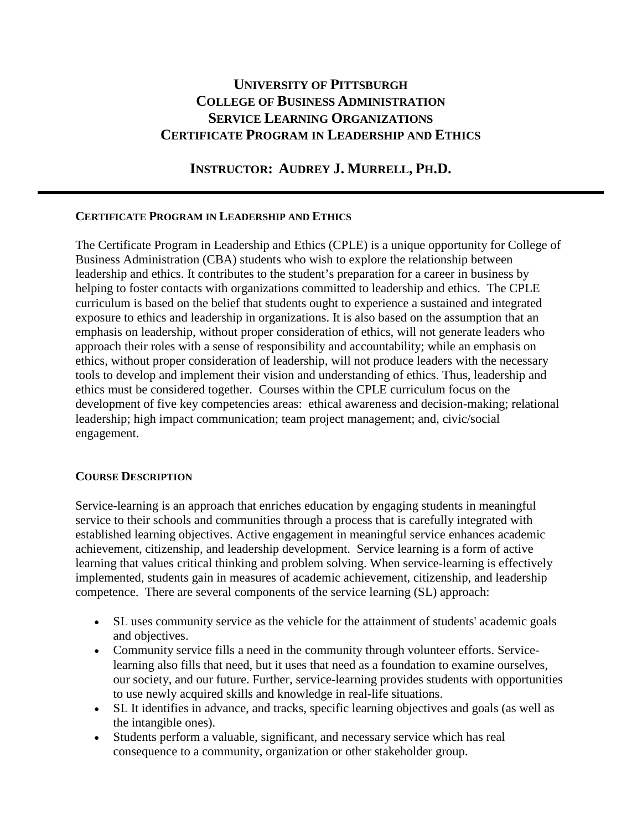# **UNIVERSITY OF PITTSBURGH COLLEGE OF BUSINESS ADMINISTRATION SERVICE LEARNING ORGANIZATIONS CERTIFICATE PROGRAM IN LEADERSHIP AND ETHICS**

## **INSTRUCTOR: AUDREY J. MURRELL, PH.D.**

### **CERTIFICATE PROGRAM IN LEADERSHIP AND ETHICS**

The Certificate Program in Leadership and Ethics (CPLE) is a unique opportunity for College of Business Administration (CBA) students who wish to explore the relationship between leadership and ethics. It contributes to the student's preparation for a career in business by helping to foster contacts with organizations committed to leadership and ethics. The CPLE curriculum is based on the belief that students ought to experience a sustained and integrated exposure to ethics and leadership in organizations. It is also based on the assumption that an emphasis on leadership, without proper consideration of ethics, will not generate leaders who approach their roles with a sense of responsibility and accountability; while an emphasis on ethics, without proper consideration of leadership, will not produce leaders with the necessary tools to develop and implement their vision and understanding of ethics. Thus, leadership and ethics must be considered together. Courses within the CPLE curriculum focus on the development of five key competencies areas: ethical awareness and decision-making; relational leadership; high impact communication; team project management; and, civic/social engagement.

### **COURSE DESCRIPTION**

Service-learning is an approach that enriches education by engaging students in meaningful service to their schools and communities through a process that is carefully integrated with established learning objectives. Active engagement in meaningful service enhances academic achievement, citizenship, and leadership development. Service learning is a form of active learning that values critical thinking and problem solving. When service-learning is effectively implemented, students gain in measures of academic achievement, citizenship, and leadership competence. There are several components of the service learning (SL) approach:

- SL uses community service as the vehicle for the attainment of students' academic goals and objectives.
- Community service fills a need in the community through volunteer efforts. Servicelearning also fills that need, but it uses that need as a foundation to examine ourselves, our society, and our future. Further, service-learning provides students with opportunities to use newly acquired skills and knowledge in real-life situations.
- SL It identifies in advance, and tracks, specific learning objectives and goals (as well as the intangible ones).
- Students perform a valuable, significant, and necessary service which has real consequence to a community, organization or other stakeholder group.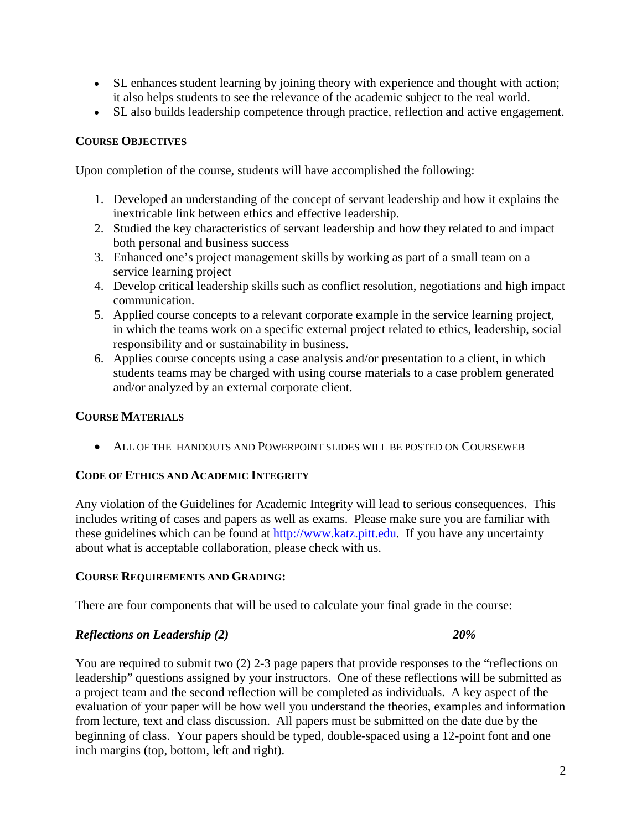- SL enhances student learning by joining theory with experience and thought with action; it also helps students to see the relevance of the academic subject to the real world.
- SL also builds leadership competence through practice, reflection and active engagement.

### **COURSE OBJECTIVES**

Upon completion of the course, students will have accomplished the following:

- 1. Developed an understanding of the concept of servant leadership and how it explains the inextricable link between ethics and effective leadership.
- 2. Studied the key characteristics of servant leadership and how they related to and impact both personal and business success
- 3. Enhanced one's project management skills by working as part of a small team on a service learning project
- 4. Develop critical leadership skills such as conflict resolution, negotiations and high impact communication.
- 5. Applied course concepts to a relevant corporate example in the service learning project, in which the teams work on a specific external project related to ethics, leadership, social responsibility and or sustainability in business.
- 6. Applies course concepts using a case analysis and/or presentation to a client, in which students teams may be charged with using course materials to a case problem generated and/or analyzed by an external corporate client.

### **COURSE MATERIALS**

• ALL OF THE HANDOUTS AND POWERPOINT SLIDES WILL BE POSTED ON COURSEWEB

### **CODE OF ETHICS AND ACADEMIC INTEGRITY**

Any violation of the Guidelines for Academic Integrity will lead to serious consequences. This includes writing of cases and papers as well as exams. Please make sure you are familiar with these guidelines which can be found at [http://www.katz.pitt.edu.](http://www.katz.pitt.edu/) If you have any uncertainty about what is acceptable collaboration, please check with us.

### **COURSE REQUIREMENTS AND GRADING:**

There are four components that will be used to calculate your final grade in the course:

### *Reflections on Leadership (2) 20%*

You are required to submit two (2) 2-3 page papers that provide responses to the "reflections on leadership" questions assigned by your instructors. One of these reflections will be submitted as a project team and the second reflection will be completed as individuals. A key aspect of the evaluation of your paper will be how well you understand the theories, examples and information from lecture, text and class discussion. All papers must be submitted on the date due by the beginning of class. Your papers should be typed, double-spaced using a 12-point font and one inch margins (top, bottom, left and right).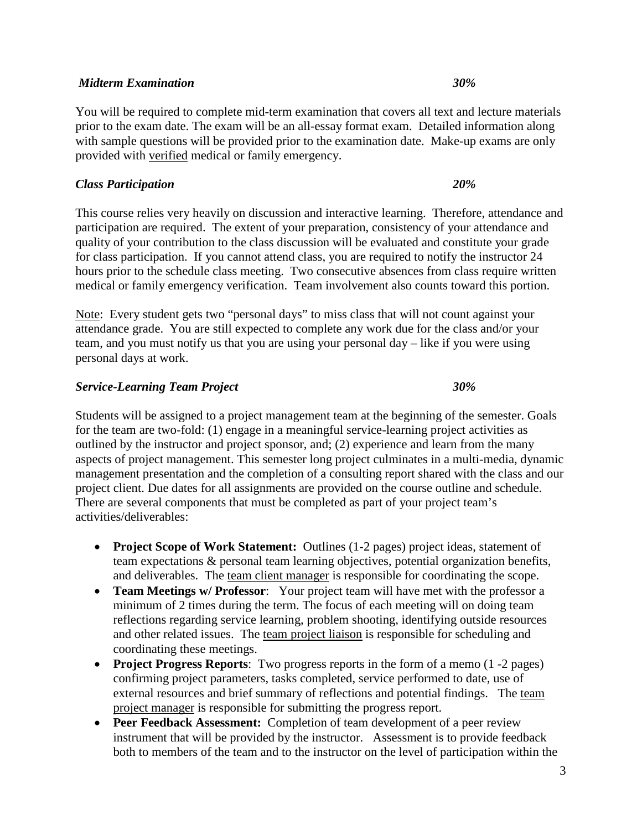### *Midterm Examination 30%*

You will be required to complete mid-term examination that covers all text and lecture materials prior to the exam date. The exam will be an all-essay format exam. Detailed information along with sample questions will be provided prior to the examination date. Make-up exams are only provided with verified medical or family emergency.

### *Class Participation 20%*

This course relies very heavily on discussion and interactive learning. Therefore, attendance and participation are required. The extent of your preparation, consistency of your attendance and quality of your contribution to the class discussion will be evaluated and constitute your grade for class participation. If you cannot attend class, you are required to notify the instructor 24 hours prior to the schedule class meeting. Two consecutive absences from class require written medical or family emergency verification. Team involvement also counts toward this portion.

Note: Every student gets two "personal days" to miss class that will not count against your attendance grade. You are still expected to complete any work due for the class and/or your team, and you must notify us that you are using your personal day – like if you were using personal days at work.

### *Service-Learning Team Project 30%*

Students will be assigned to a project management team at the beginning of the semester. Goals for the team are two-fold: (1) engage in a meaningful service-learning project activities as outlined by the instructor and project sponsor, and; (2) experience and learn from the many aspects of project management. This semester long project culminates in a multi-media, dynamic management presentation and the completion of a consulting report shared with the class and our project client. Due dates for all assignments are provided on the course outline and schedule. There are several components that must be completed as part of your project team's activities/deliverables:

- **Project Scope of Work Statement:** Outlines (1-2 pages) project ideas, statement of team expectations & personal team learning objectives, potential organization benefits, and deliverables. The team client manager is responsible for coordinating the scope.
- **Team Meetings w/ Professor**: Your project team will have met with the professor a minimum of 2 times during the term. The focus of each meeting will on doing team reflections regarding service learning, problem shooting, identifying outside resources and other related issues. The team project liaison is responsible for scheduling and coordinating these meetings.
- **Project Progress Reports**: Two progress reports in the form of a memo (1 -2 pages) confirming project parameters, tasks completed, service performed to date, use of external resources and brief summary of reflections and potential findings. The team project manager is responsible for submitting the progress report.
- **Peer Feedback Assessment:** Completion of team development of a peer review instrument that will be provided by the instructor. Assessment is to provide feedback both to members of the team and to the instructor on the level of participation within the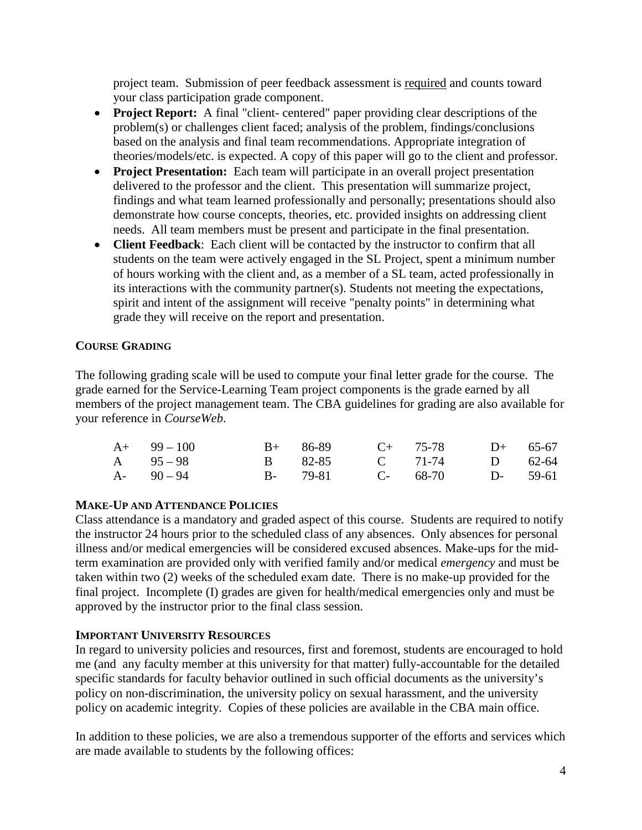project team. Submission of peer feedback assessment is required and counts toward your class participation grade component.

- **Project Report:** A final "client- centered" paper providing clear descriptions of the problem(s) or challenges client faced; analysis of the problem, findings/conclusions based on the analysis and final team recommendations. Appropriate integration of theories/models/etc. is expected. A copy of this paper will go to the client and professor.
- **Project Presentation:** Each team will participate in an overall project presentation delivered to the professor and the client. This presentation will summarize project, findings and what team learned professionally and personally; presentations should also demonstrate how course concepts, theories, etc. provided insights on addressing client needs. All team members must be present and participate in the final presentation.
- **Client Feedback**: Each client will be contacted by the instructor to confirm that all students on the team were actively engaged in the SL Project, spent a minimum number of hours working with the client and, as a member of a SL team, acted professionally in its interactions with the community partner(s). Students not meeting the expectations, spirit and intent of the assignment will receive "penalty points" in determining what grade they will receive on the report and presentation.

### **COURSE GRADING**

The following grading scale will be used to compute your final letter grade for the course. The grade earned for the Service-Learning Team project components is the grade earned by all members of the project management team. The CBA guidelines for grading are also available for your reference in *CourseWeb*.

| $A+ 99-100$   |         | $B+$ 86-89 C+ 75-78 D+ 65-67 |  |
|---------------|---------|------------------------------|--|
| A $95-98$     | B 82-85 | C 71-74 D 62-64              |  |
| $A - 90 - 94$ |         | B- 79-81 C- 68-70 D- 59-61   |  |

### **MAKE-UP AND ATTENDANCE POLICIES**

Class attendance is a mandatory and graded aspect of this course. Students are required to notify the instructor 24 hours prior to the scheduled class of any absences. Only absences for personal illness and/or medical emergencies will be considered excused absences. Make-ups for the midterm examination are provided only with verified family and/or medical *emergency* and must be taken within two (2) weeks of the scheduled exam date. There is no make-up provided for the final project. Incomplete (I) grades are given for health/medical emergencies only and must be approved by the instructor prior to the final class session.

### **IMPORTANT UNIVERSITY RESOURCES**

In regard to university policies and resources, first and foremost, students are encouraged to hold me (and any faculty member at this university for that matter) fully-accountable for the detailed specific standards for faculty behavior outlined in such official documents as the university's policy on non-discrimination, the university policy on sexual harassment, and the university policy on academic integrity. Copies of these policies are available in the CBA main office.

In addition to these policies, we are also a tremendous supporter of the efforts and services which are made available to students by the following offices: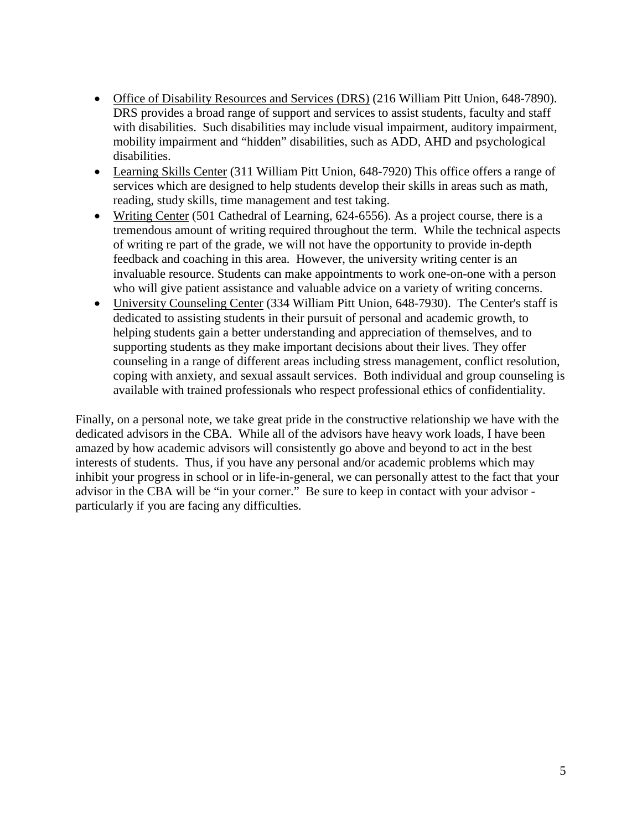- Office of Disability Resources and Services (DRS) (216 William Pitt Union, 648-7890). DRS provides a broad range of support and services to assist students, faculty and staff with disabilities. Such disabilities may include visual impairment, auditory impairment, mobility impairment and "hidden" disabilities, such as ADD, AHD and psychological disabilities.
- Learning Skills Center (311 William Pitt Union, 648-7920) This office offers a range of services which are designed to help students develop their skills in areas such as math, reading, study skills, time management and test taking.
- Writing Center (501 Cathedral of Learning, 624-6556). As a project course, there is a tremendous amount of writing required throughout the term. While the technical aspects of writing re part of the grade, we will not have the opportunity to provide in-depth feedback and coaching in this area. However, the university writing center is an invaluable resource. Students can make appointments to work one-on-one with a person who will give patient assistance and valuable advice on a variety of writing concerns.
- University Counseling Center (334 William Pitt Union, 648-7930). The Center's staff is dedicated to assisting students in their pursuit of personal and academic growth, to helping students gain a better understanding and appreciation of themselves, and to supporting students as they make important decisions about their lives. They offer counseling in a range of different areas including stress management, conflict resolution, coping with anxiety, and sexual assault services. Both individual and group counseling is available with trained professionals who respect professional ethics of confidentiality.

Finally, on a personal note, we take great pride in the constructive relationship we have with the dedicated advisors in the CBA. While all of the advisors have heavy work loads, I have been amazed by how academic advisors will consistently go above and beyond to act in the best interests of students. Thus, if you have any personal and/or academic problems which may inhibit your progress in school or in life-in-general, we can personally attest to the fact that your advisor in the CBA will be "in your corner." Be sure to keep in contact with your advisor particularly if you are facing any difficulties.